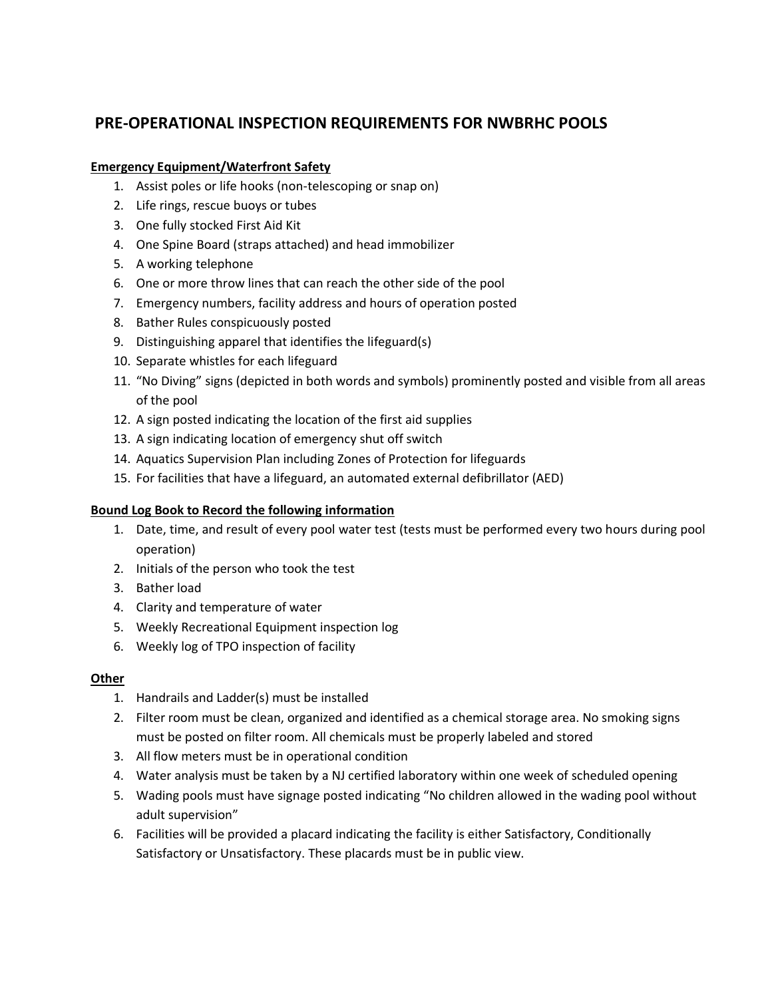# **PRE-OPERATIONAL INSPECTION REQUIREMENTS FOR NWBRHC POOLS**

## **Emergency Equipment/Waterfront Safety**

- 1. Assist poles or life hooks (non-telescoping or snap on)
- 2. Life rings, rescue buoys or tubes
- 3. One fully stocked First Aid Kit
- 4. One Spine Board (straps attached) and head immobilizer
- 5. A working telephone
- 6. One or more throw lines that can reach the other side of the pool
- 7. Emergency numbers, facility address and hours of operation posted
- 8. Bather Rules conspicuously posted
- 9. Distinguishing apparel that identifies the lifeguard(s)
- 10. Separate whistles for each lifeguard
- 11. "No Diving" signs (depicted in both words and symbols) prominently posted and visible from all areas of the pool
- 12. A sign posted indicating the location of the first aid supplies
- 13. A sign indicating location of emergency shut off switch
- 14. Aquatics Supervision Plan including Zones of Protection for lifeguards
- 15. For facilities that have a lifeguard, an automated external defibrillator (AED)

#### **Bound Log Book to Record the following information**

- 1. Date, time, and result of every pool water test (tests must be performed every two hours during pool operation)
- 2. Initials of the person who took the test
- 3. Bather load
- 4. Clarity and temperature of water
- 5. Weekly Recreational Equipment inspection log
- 6. Weekly log of TPO inspection of facility

#### **Other**

- 1. Handrails and Ladder(s) must be installed
- 2. Filter room must be clean, organized and identified as a chemical storage area. No smoking signs must be posted on filter room. All chemicals must be properly labeled and stored
- 3. All flow meters must be in operational condition
- 4. Water analysis must be taken by a NJ certified laboratory within one week of scheduled opening
- 5. Wading pools must have signage posted indicating "No children allowed in the wading pool without adult supervision"
- 6. Facilities will be provided a placard indicating the facility is either Satisfactory, Conditionally Satisfactory or Unsatisfactory. These placards must be in public view.